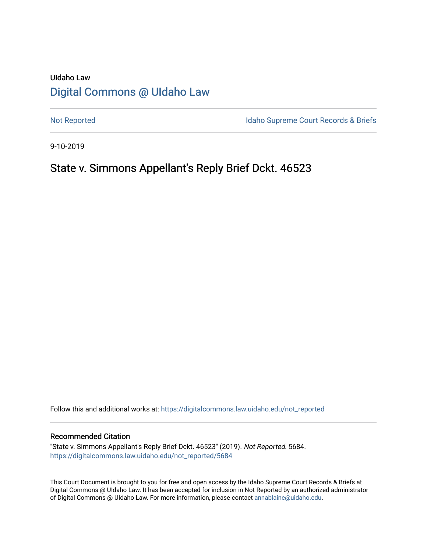# UIdaho Law [Digital Commons @ UIdaho Law](https://digitalcommons.law.uidaho.edu/)

[Not Reported](https://digitalcommons.law.uidaho.edu/not_reported) **Idaho Supreme Court Records & Briefs** 

9-10-2019

# State v. Simmons Appellant's Reply Brief Dckt. 46523

Follow this and additional works at: [https://digitalcommons.law.uidaho.edu/not\\_reported](https://digitalcommons.law.uidaho.edu/not_reported?utm_source=digitalcommons.law.uidaho.edu%2Fnot_reported%2F5684&utm_medium=PDF&utm_campaign=PDFCoverPages) 

#### Recommended Citation

"State v. Simmons Appellant's Reply Brief Dckt. 46523" (2019). Not Reported. 5684. [https://digitalcommons.law.uidaho.edu/not\\_reported/5684](https://digitalcommons.law.uidaho.edu/not_reported/5684?utm_source=digitalcommons.law.uidaho.edu%2Fnot_reported%2F5684&utm_medium=PDF&utm_campaign=PDFCoverPages)

This Court Document is brought to you for free and open access by the Idaho Supreme Court Records & Briefs at Digital Commons @ UIdaho Law. It has been accepted for inclusion in Not Reported by an authorized administrator of Digital Commons @ UIdaho Law. For more information, please contact [annablaine@uidaho.edu](mailto:annablaine@uidaho.edu).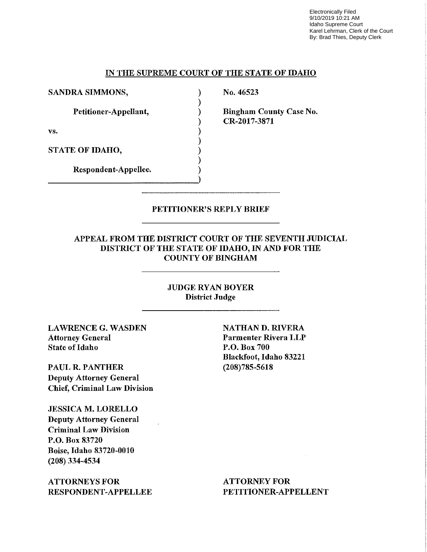Electronically Filed 9/10/2019 10:21 AM Idaho Supreme Court Karel Lehrman, Clerk of the Court By: Brad Thies, Deputy Clerk

## IN THE SUPREME COURT OF THE STATE OF IDAHO

) ) ) ) ) ) ) ) )

SANDRA SIMMONS,

Petitioner-Appellant,

vs.

STATE OF IDAHO,

Respondent-Appellee.

No. 46523

Bingham County Case No. CR-2017-3871

#### PETITIONER'S REPLY BRIEF

#### APPEAL FROM THE DISTRICT COURT OF THE SEVENTH JUDICIAL DISTRICT OF THE STATE OF IDAHO, IN AND FOR THE COUNTY OF BINGHAM

#### JUDGE RYAN BOYER District Jndge

LAWRENCE G. WASDEN Attorney General State of Idaho

PAUL R. PANTHER Deputy Attorney General Chief, Criminal Law Division

JESSICA M. LORELLO Deputy Attorney General Criminal Law Division P.O. Box 83720 Boise, Idaho 83720-0010 (208) 334-4534

ATTORNEYS FOR RESPONDENT-APPELLEE NATHAN D. RIVERA Parmenter Rivera LLP P.O. Box 700 Blackfoot, Idaho 83221 (208)785-5618

ATTORNEY FOR PETITIONER-APPELLENT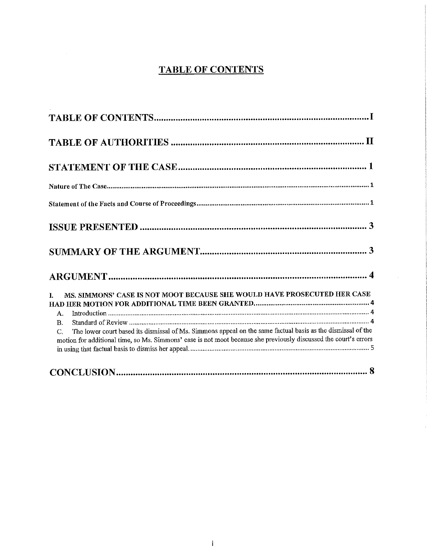## **TABLE OF CONTENTS**

| MS. SIMMONS' CASE IS NOT MOOT BECAUSE SHE WOULD HAVE PROSECUTED HER CASE<br>L.<br>Α.<br><b>B.</b><br>The lower court based its dismissal of Ms. Simmons appeal on the same factual basis as the dismissal of the<br>C.<br>motion for additional time, so Ms. Simmons' case is not moot because she previously discussed the court's errors |
|--------------------------------------------------------------------------------------------------------------------------------------------------------------------------------------------------------------------------------------------------------------------------------------------------------------------------------------------|
|                                                                                                                                                                                                                                                                                                                                            |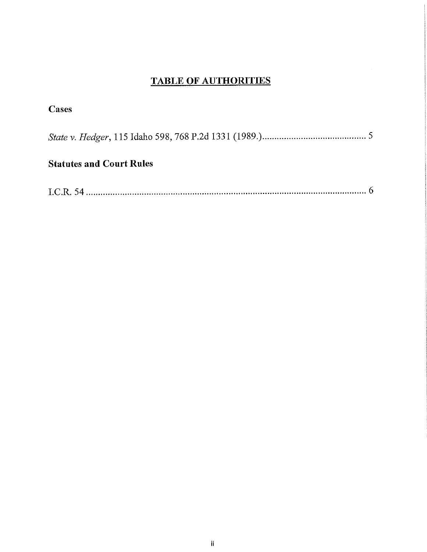# **TABLE OF AUTHORITIES**

 $\mathcal{A}^{\mathcal{A}}$ 

| Cases                           |  |
|---------------------------------|--|
|                                 |  |
| <b>Statutes and Court Rules</b> |  |

|--|--|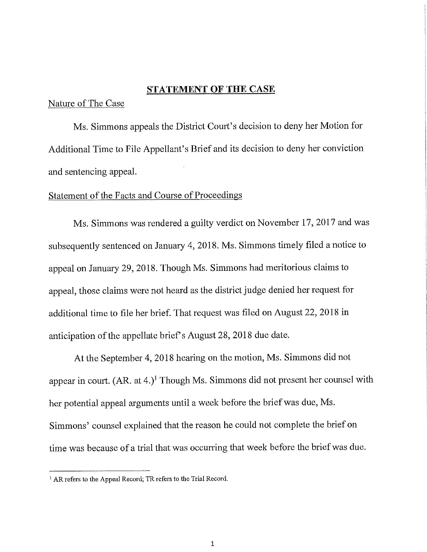## **STATEMENT OF THE CASE**

Nature of The Case

Ms. Simmons appeals the District Court's decision to deny her Motion for Additional Time to File Appellant's Brief and its decision to deny her conviction and sentencing appeal.

## Statement of the Facts and Course of Proceedings

Ms. Simmons was rendered a guilty verdict on November 17, 2017 and was subsequently sentenced on January 4, 2018. Ms. Simmons timely filed a notice to appeal on January 29, 2018. Though Ms. Simmons had meritorious claims to appeal, those claims were not heard as the district judge denied her request for additional time to file her brief. That request was filed on August 22, 2018 in anticipation of the appellate brief's August 28, 2018 due date.

At the September 4, 2018 hearing on the motion, Ms. Simmons did not appear in court.  $(AR. at 4.)^1$  Though Ms. Simmons did not present her counsel with her potential appeal arguments until a week before the brief was due, Ms. Simmons' counsel explained that the reason he could not complete the brief on time was because of a trial that was occurring that week before the brief was due.

<sup>&</sup>lt;sup>1</sup> AR refers to the Appeal Record; TR refers to the Trial Record.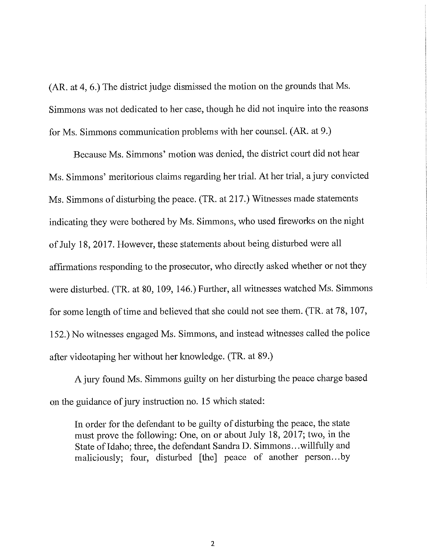(AR. at 4, 6.) The district judge dismissed the motion on the grounds that Ms. Simmons was not dedicated to her case, though he did not inquire into the reasons for Ms. Simmons communication problems with her counsel. (AR. at 9.)

Because Ms. Simmons' motion was denied, the district court did not hear Ms. Simmons' meritorious claims regarding her trial. At her trial, a jury convicted Ms. Simmons of disturbing the peace. (TR. at 217.) Witnesses made statements indicating they were bothered by Ms. Simmons, who used fireworks on the night of July 18, 2017. However, these statements about being disturbed were all affirmations responding to the prosecutor, who directly asked whether or not they were disturbed. (TR. at 80, 109, 146.) Further, all witnesses watched Ms. Simmons for some length of time and believed that she could not see them. (TR. at 78, 107, 152.) No witnesses engaged Ms. Simmons, and instead witnesses called the police after videotaping her without her knowledge. (TR. at 89.)

A jury found Ms. Simmons guilty on her disturbing the peace charge based on the guidance of jury instruction no. 15 which stated:

In order for the defendant to be guilty of disturbing the peace, the state must prove the following: One, on or about July 18, 2017; two, in the State of Idaho; three, the defendant Sandra D. Simmons ... willfully and maliciously; four, disturbed [the] peace of another person...by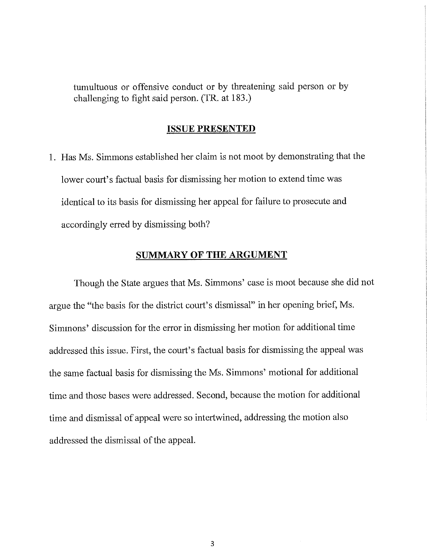tumultuous or offensive conduct or by threatening said person or by challenging to fight said person. (TR. at 183.)

#### **ISSUE PRESENTED**

1. Has Ms. Simmons established her claim is not moot by demonstrating that the lower court's factual basis for dismissing her motion to extend time was identical to its basis for dismissing her appeal for failure to prosecute and accordingly erred by dismissing both?

## **SUMMARY OF THE ARGUMENT**

Though the State argues that Ms. Simmons' case is moot because she did not argue the "the basis for the district court's dismissal" in her opening brief, Ms. Simmons' discussion for the error in dismissing her motion for additional time addressed this issue. First, the court's factual basis for dismissing the appeal was the same factual basis for dismissing the Ms. Simmons' motional for additional time and those bases were addressed. Second, because the motion for additional time and dismissal of appeal were so intertwined, addressing the motion also addressed the dismissal of the appeal.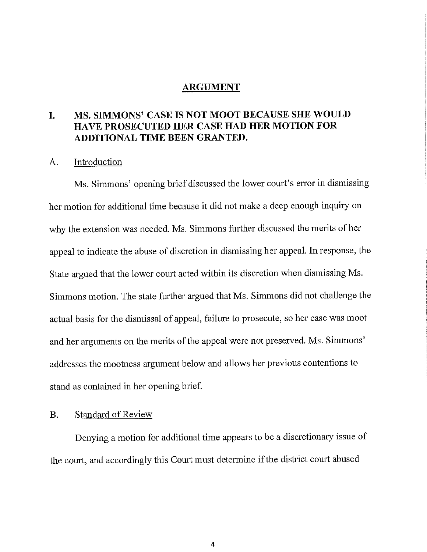#### **ARGUMENT**

## **I. MS. SIMMONS' CASE IS NOT MOOT BECAUSE SHE WOULD HA VE PROSECUTED HER CASE HAD HER MOTION FOR ADDITIONAL TIME BEEN GRANTED.**

### A. Introduction

Ms. Simmons' opening brief discussed the lower court's error in dismissing her motion for additional time because it did not make a deep enough inquiry on why the extension was needed. Ms. Simmons further discussed the merits of her appeal to indicate the abuse of discretion in dismissing her appeal. In response, the State argued that the lower court acted within its discretion when dismissing Ms. Simmons motion. The state further argued that Ms. Simmons did not challenge the actual basis for the dismissal of appeal, failure to prosecute, so her case was moot and her arguments on the merits of the appeal were not preserved. Ms. Simmons' addresses the mootness argument below and allows her previous contentions to stand as contained in her opening brief.

### B. Standard of Review

Denying a motion for additional time appears to be a discretionary issue of the court, and accordingly this Court must determine if the district court abused

4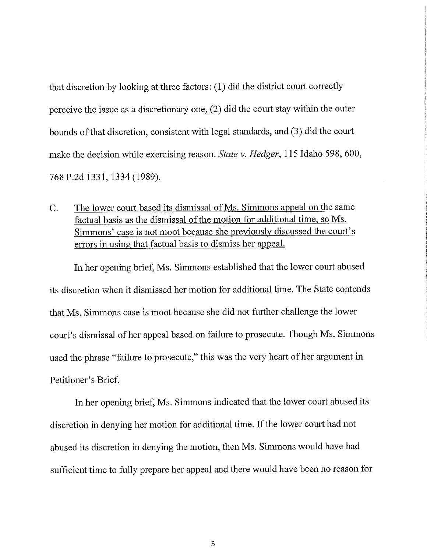that discretion by looking at three factors: (1) did the district comt correctly perceive the issue as a discretionary one, (2) did the court stay within the outer bounds of that discretion, consistent with legal standards, and (3) did the court make the decision while exercising reason. *State v. Hedger,* 115 Idaho 598, 600, 768 P.2d 1331, 1334 (1989).

C. The lower court based its dismissal of Ms. Simmons appeal on the same factual basis as the dismissal of the motion for additional time, so Ms. Simmons' case is not moot because she previously discussed the court's errors in using that factual basis to dismiss her appeal.

In her opening brief, Ms. Simmons established that the lower comt abused its discretion when it dismissed her motion for additional time. The State contends that Ms. Simmons case is moot because she did not further challenge the lower court's dismissal of her appeal based on failure to prosecute. Though Ms. Simmons used the phrase "failure to prosecute," this was the very heart of her argument in Petitioner's Brief.

In her opening brief, Ms. Simmons indicated that the lower court abused its discretion in denying her motion for additional time. If the lower court had not abused its discretion in denying the motion, then Ms. Simmons would have had sufficient time to fully prepare her appeal and there would have been no reason for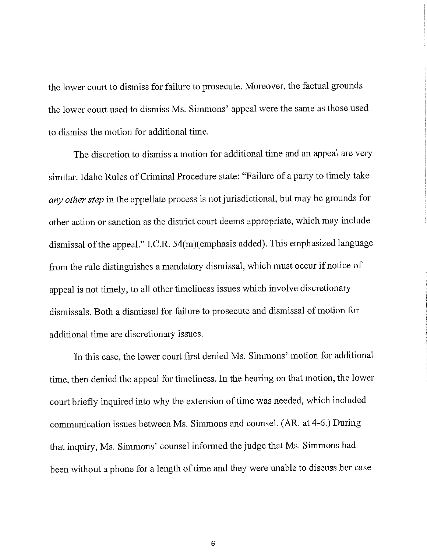the lower court to dismiss for failure to prosecute. Moreover, the factual grounds the lower court used to dismiss Ms. Simmons' appeal were the same as those used to dismiss the motion for additional time.

The discretion to dismiss a motion for additional time and an appeal are very similar. Idaho Rules of Criminal Procedure state: "Failure of a party to timely take *any other step* in the appellate process is not jurisdictional, but may be grounds for other action or sanction as the district court deems appropriate, which may include dismissal of the appeal." I.C.R. 54(m)(emphasis added). This emphasized language from the rule distinguishes a mandatory dismissal, which must occur if notice of appeal is not timely, to all other timeliness issues which involve discretionary dismissals. Both a dismissal for failure to prosecute and dismissal of motion for additional time are discretionary issues.

In this case, the lower court first denied Ms. Simmons' motion for additional time, then denied the appeal for timeliness. In the hearing on that motion, the lower court briefly inquired into why the extension of time was needed, which included communication issues between Ms. Simmons and counsel. (AR. at 4-6.) During that inquiry, Ms. Simmons' counsel informed the judge that Ms. Simmons had been without a phone for a length of time and they were unable to discuss her case

6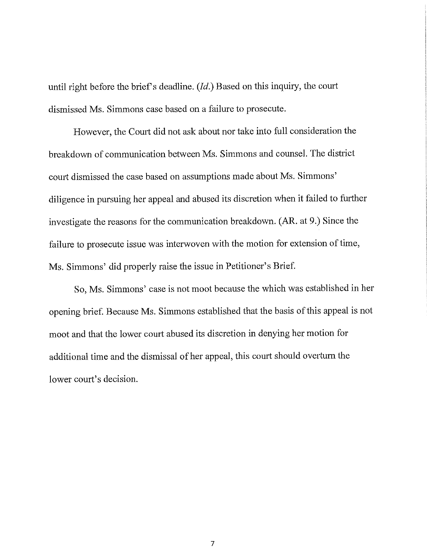until right before the brief's deadline. *(Id.)* Based on this inquiry, the court dismissed Ms. Simmons case based on a failure to prosecute.

However, the Court did not ask about nor take into full consideration the breakdown of communication between Ms. Simmons and counsel. The district court dismissed the case based on assumptions made about Ms. Simmons' diligence in pursuing her appeal and abused its discretion when it failed to further investigate the reasons for the communication breakdown. (AR. at 9.) Since the failure to prosecute issue was interwoven with the motion for extension of time, Ms. Simmons' did properly raise the issue in Petitioner's Brief.

So, Ms. Simmons' case is not moot because the which was established in her opening brief. Because Ms. Simmons established that the basis of this appeal is not moot and that the lower court abused its discretion in denying her motion for additional time and the dismissal of her appeal, this court should overturn the lower court's decision.

7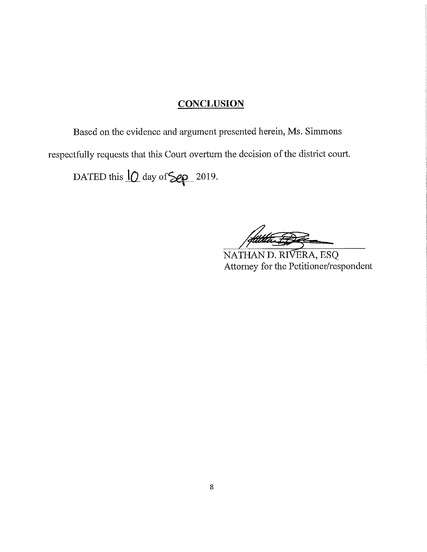# **CONCLUSION**

Based on the evidence and argument presented herein, Ms. Simmons

respectfully requests that this Court overturn the decision of the district court.

DATED this  $10$  day of  $\geq 2019$ .

NATHAN D. RIVERA, ESQ Attorney for the Petitioner/respondent